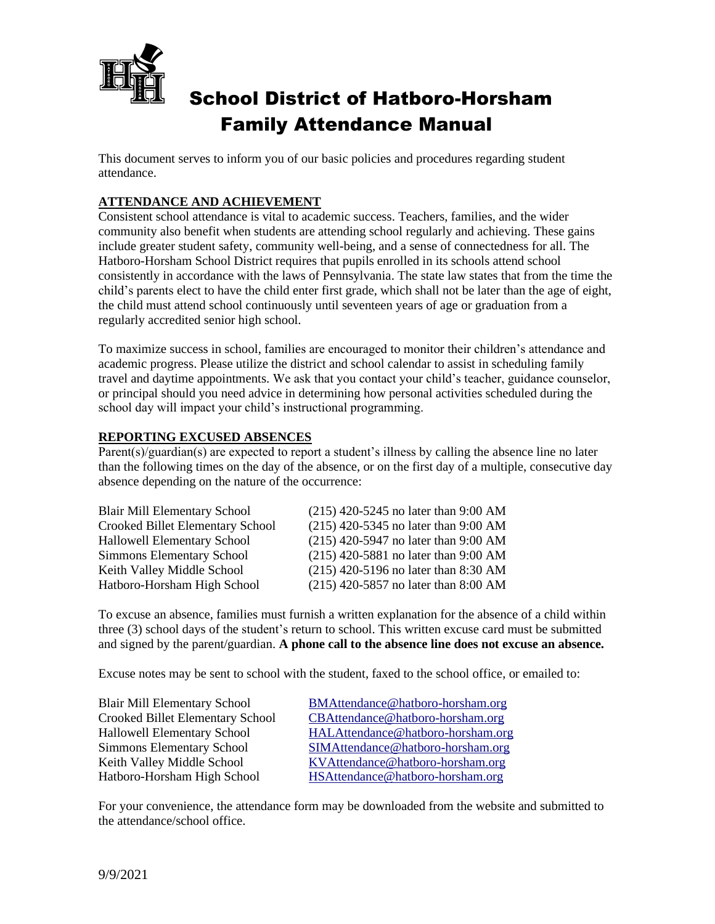

# School District of Hatboro-Horsham Family Attendance Manual

This document serves to inform you of our basic policies and procedures regarding student attendance.

## **ATTENDANCE AND ACHIEVEMENT**

Consistent school attendance is vital to academic success. Teachers, families, and the wider community also benefit when students are attending school regularly and achieving. These gains include greater student safety, community well-being, and a sense of connectedness for all. The Hatboro-Horsham School District requires that pupils enrolled in its schools attend school consistently in accordance with the laws of Pennsylvania. The state law states that from the time the child's parents elect to have the child enter first grade, which shall not be later than the age of eight, the child must attend school continuously until seventeen years of age or graduation from a regularly accredited senior high school.

To maximize success in school, families are encouraged to monitor their children's attendance and academic progress. Please utilize the district and school calendar to assist in scheduling family travel and daytime appointments. We ask that you contact your child's teacher, guidance counselor, or principal should you need advice in determining how personal activities scheduled during the school day will impact your child's instructional programming.

#### **REPORTING EXCUSED ABSENCES**

Parent(s)/guardian(s) are expected to report a student's illness by calling the absence line no later than the following times on the day of the absence, or on the first day of a multiple, consecutive day absence depending on the nature of the occurrence:

| $(215)$ 420-5245 no later than 9:00 AM |
|----------------------------------------|
| $(215)$ 420-5345 no later than 9:00 AM |
| (215) 420-5947 no later than 9:00 AM   |
| $(215)$ 420-5881 no later than 9:00 AM |
| $(215)$ 420-5196 no later than 8:30 AM |
| $(215)$ 420-5857 no later than 8:00 AM |
|                                        |

To excuse an absence, families must furnish a written explanation for the absence of a child within three (3) school days of the student's return to school. This written excuse card must be submitted and signed by the parent/guardian. **A phone call to the absence line does not excuse an absence.**

Excuse notes may be sent to school with the student, faxed to the school office, or emailed to:

| <b>Blair Mill Elementary School</b> | BMAttendance@hatboro-horsham.org  |
|-------------------------------------|-----------------------------------|
| Crooked Billet Elementary School    | CBAttendance@hatboro-horsham.org  |
| <b>Hallowell Elementary School</b>  | HALAttendance@hatboro-horsham.org |
| <b>Simmons Elementary School</b>    | SIMAttendance@hatboro-horsham.org |
| Keith Valley Middle School          | KVAttendance@hatboro-horsham.org  |
| Hatboro-Horsham High School         | HSAttendance@hatboro-horsham.org  |

For your convenience, the attendance form may be downloaded from the website and submitted to the attendance/school office.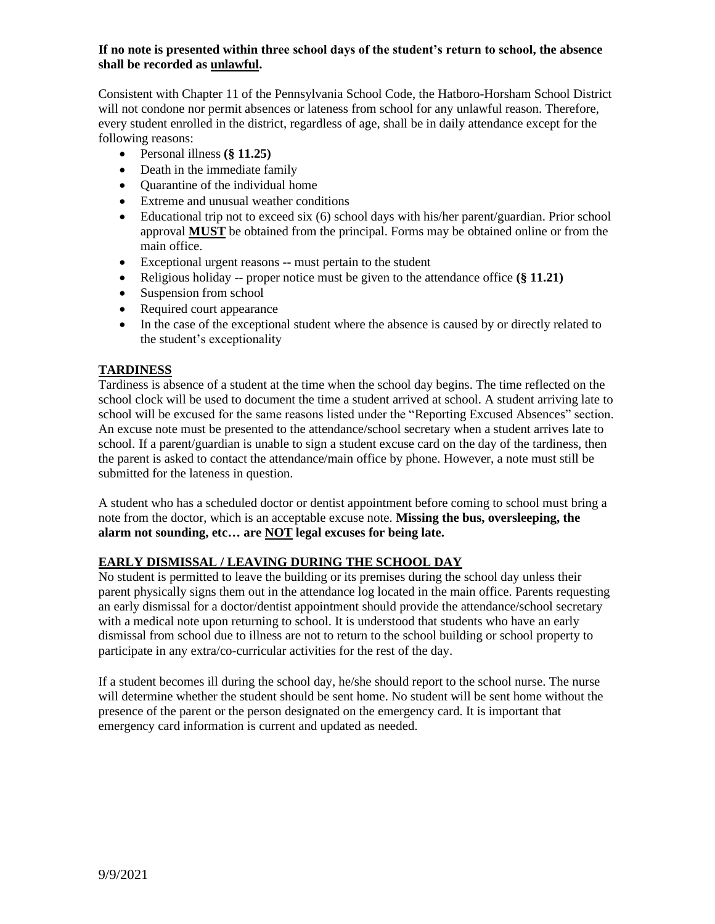#### **If no note is presented within three school days of the student's return to school, the absence shall be recorded as unlawful.**

Consistent with Chapter 11 of the Pennsylvania School Code, the Hatboro-Horsham School District will not condone nor permit absences or lateness from school for any unlawful reason. Therefore, every student enrolled in the district, regardless of age, shall be in daily attendance except for the following reasons:

- Personal illness **(§ 11.25)**
- Death in the immediate family
- Quarantine of the individual home
- Extreme and unusual weather conditions
- Educational trip not to exceed six (6) school days with his/her parent/guardian. Prior school approval **MUST** be obtained from the principal. Forms may be obtained online or from the main office.
- Exceptional urgent reasons -- must pertain to the student
- Religious holiday -- proper notice must be given to the attendance office **(§ 11.21)**
- Suspension from school
- Required court appearance
- In the case of the exceptional student where the absence is caused by or directly related to the student's exceptionality

#### **TARDINESS**

Tardiness is absence of a student at the time when the school day begins. The time reflected on the school clock will be used to document the time a student arrived at school. A student arriving late to school will be excused for the same reasons listed under the "Reporting Excused Absences" section. An excuse note must be presented to the attendance/school secretary when a student arrives late to school. If a parent/guardian is unable to sign a student excuse card on the day of the tardiness, then the parent is asked to contact the attendance/main office by phone. However, a note must still be submitted for the lateness in question.

A student who has a scheduled doctor or dentist appointment before coming to school must bring a note from the doctor, which is an acceptable excuse note. **Missing the bus, oversleeping, the alarm not sounding, etc… are NOT legal excuses for being late.**

## **EARLY DISMISSAL / LEAVING DURING THE SCHOOL DAY**

No student is permitted to leave the building or its premises during the school day unless their parent physically signs them out in the attendance log located in the main office. Parents requesting an early dismissal for a doctor/dentist appointment should provide the attendance/school secretary with a medical note upon returning to school. It is understood that students who have an early dismissal from school due to illness are not to return to the school building or school property to participate in any extra/co-curricular activities for the rest of the day.

If a student becomes ill during the school day, he/she should report to the school nurse. The nurse will determine whether the student should be sent home. No student will be sent home without the presence of the parent or the person designated on the emergency card. It is important that emergency card information is current and updated as needed.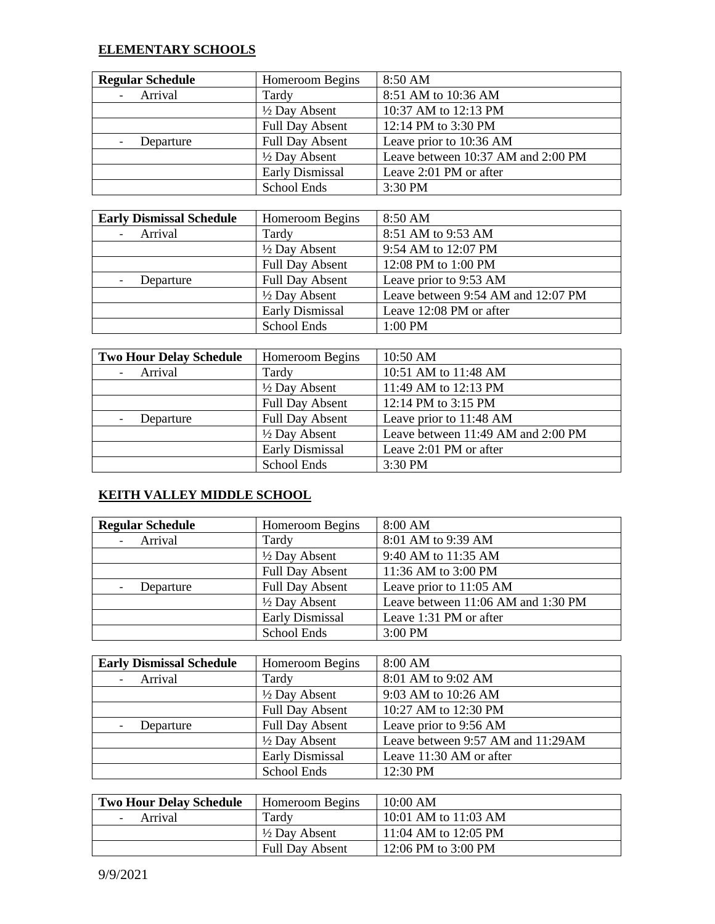#### **ELEMENTARY SCHOOLS**

| <b>Regular Schedule</b> | Homeroom Begins          | 8:50 AM                            |
|-------------------------|--------------------------|------------------------------------|
| Arrival                 | Tardy                    | 8:51 AM to 10:36 AM                |
|                         | $\frac{1}{2}$ Day Absent | 10:37 AM to 12:13 PM               |
|                         | <b>Full Day Absent</b>   | 12:14 PM to 3:30 PM                |
| Departure               | <b>Full Day Absent</b>   | Leave prior to 10:36 AM            |
|                         | $\frac{1}{2}$ Day Absent | Leave between 10:37 AM and 2:00 PM |
|                         | <b>Early Dismissal</b>   | Leave 2:01 PM or after             |
|                         | School Ends              | 3:30 PM                            |

| <b>Early Dismissal Schedule</b> | Homeroom Begins          | 8:50 AM                            |
|---------------------------------|--------------------------|------------------------------------|
| Arrival                         | Tardy                    | 8:51 AM to 9:53 AM                 |
|                                 | $\frac{1}{2}$ Day Absent | 9:54 AM to 12:07 PM                |
|                                 | <b>Full Day Absent</b>   | 12:08 PM to 1:00 PM                |
| Departure                       | <b>Full Day Absent</b>   | Leave prior to 9:53 AM             |
|                                 | $\frac{1}{2}$ Day Absent | Leave between 9:54 AM and 12:07 PM |
|                                 | <b>Early Dismissal</b>   | Leave 12:08 PM or after            |
|                                 | School Ends              | 1:00 PM                            |

| <b>Two Hour Delay Schedule</b> | <b>Homeroom Begins</b>   | 10:50 AM                           |
|--------------------------------|--------------------------|------------------------------------|
| Arrival                        | Tardy                    | 10:51 AM to 11:48 AM               |
|                                | $\frac{1}{2}$ Day Absent | 11:49 AM to 12:13 PM               |
|                                | <b>Full Day Absent</b>   | 12:14 PM to 3:15 PM                |
| Departure                      | <b>Full Day Absent</b>   | Leave prior to 11:48 AM            |
|                                | 1/2 Day Absent           | Leave between 11:49 AM and 2:00 PM |
|                                | <b>Early Dismissal</b>   | Leave 2:01 PM or after             |
|                                | <b>School Ends</b>       | 3:30 PM                            |

## **KEITH VALLEY MIDDLE SCHOOL**

| <b>Regular Schedule</b> | Homeroom Begins          | 8:00 AM                            |
|-------------------------|--------------------------|------------------------------------|
| Arrival                 | Tardy                    | 8:01 AM to 9:39 AM                 |
|                         | $\frac{1}{2}$ Day Absent | 9:40 AM to 11:35 AM                |
|                         | <b>Full Day Absent</b>   | 11:36 AM to 3:00 PM                |
| Departure               | <b>Full Day Absent</b>   | Leave prior to 11:05 AM            |
|                         | $\frac{1}{2}$ Day Absent | Leave between 11:06 AM and 1:30 PM |
|                         | <b>Early Dismissal</b>   | Leave 1:31 PM or after             |
|                         | School Ends              | $3:00$ PM                          |

| <b>Early Dismissal Schedule</b> | Homeroom Begins          | 8:00 AM                           |
|---------------------------------|--------------------------|-----------------------------------|
| Arrival                         | Tardy                    | 8:01 AM to 9:02 AM                |
|                                 | $\frac{1}{2}$ Day Absent | 9:03 AM to 10:26 AM               |
|                                 | <b>Full Day Absent</b>   | 10:27 AM to 12:30 PM              |
| Departure                       | <b>Full Day Absent</b>   | Leave prior to 9:56 AM            |
|                                 | $\frac{1}{2}$ Day Absent | Leave between 9:57 AM and 11:29AM |
|                                 | <b>Early Dismissal</b>   | Leave 11:30 AM or after           |
|                                 | School Ends              | 12:30 PM                          |

| <b>Two Hour Delay Schedule</b> | <b>Homeroom Begins</b>   | 10:00 AM             |
|--------------------------------|--------------------------|----------------------|
| Arrival                        | Tardy                    | 10:01 AM to 11:03 AM |
|                                | $\frac{1}{2}$ Day Absent | 11:04 AM to 12:05 PM |
|                                | <b>Full Day Absent</b>   | 12:06 PM to 3:00 PM  |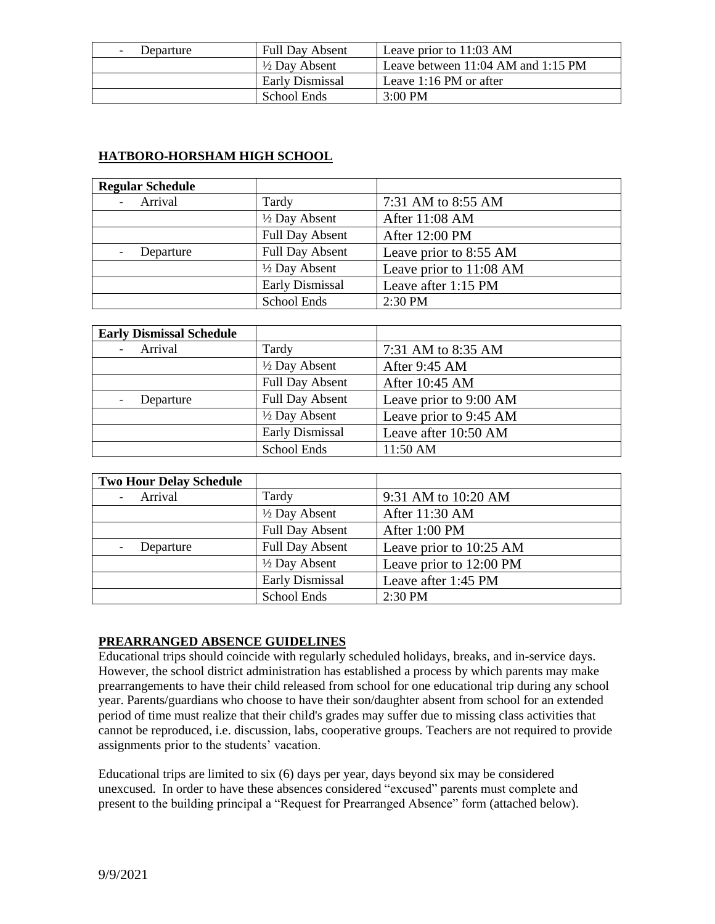| Departure | <b>Full Day Absent</b>   | Leave prior to 11:03 AM            |
|-----------|--------------------------|------------------------------------|
|           | $\frac{1}{2}$ Day Absent | Leave between 11:04 AM and 1:15 PM |
|           | Early Dismissal          | Leave 1:16 PM or after             |
|           | School Ends              | $3:00 \text{ PM}$                  |

## **HATBORO-HORSHAM HIGH SCHOOL**

| <b>Regular Schedule</b> |                          |                         |
|-------------------------|--------------------------|-------------------------|
| Arrival                 | Tardy                    | 7:31 AM to 8:55 AM      |
|                         | $\frac{1}{2}$ Day Absent | After 11:08 AM          |
|                         | <b>Full Day Absent</b>   | After 12:00 PM          |
| Departure               | <b>Full Day Absent</b>   | Leave prior to 8:55 AM  |
|                         | $\frac{1}{2}$ Day Absent | Leave prior to 11:08 AM |
|                         | Early Dismissal          | Leave after 1:15 PM     |
|                         | School Ends              | $2:30$ PM               |

| <b>Early Dismissal Schedule</b> |                          |                        |
|---------------------------------|--------------------------|------------------------|
| Arrival                         | Tardy                    | 7:31 AM to 8:35 AM     |
|                                 | $\frac{1}{2}$ Day Absent | After 9:45 AM          |
|                                 | <b>Full Day Absent</b>   | After 10:45 AM         |
| Departure                       | <b>Full Day Absent</b>   | Leave prior to 9:00 AM |
|                                 | 1/2 Day Absent           | Leave prior to 9:45 AM |
|                                 | Early Dismissal          | Leave after 10:50 AM   |
|                                 | School Ends              | 11:50 AM               |

| <b>Two Hour Delay Schedule</b> |                          |                         |
|--------------------------------|--------------------------|-------------------------|
| Arrival                        | Tardy                    | 9:31 AM to 10:20 AM     |
|                                | $\frac{1}{2}$ Day Absent | After 11:30 AM          |
|                                | <b>Full Day Absent</b>   | After 1:00 PM           |
| Departure                      | <b>Full Day Absent</b>   | Leave prior to 10:25 AM |
|                                | $\frac{1}{2}$ Day Absent | Leave prior to 12:00 PM |
|                                | Early Dismissal          | Leave after 1:45 PM     |
|                                | School Ends              | 2:30 PM                 |

## **PREARRANGED ABSENCE GUIDELINES**

Educational trips should coincide with regularly scheduled holidays, breaks, and in-service days. However, the school district administration has established a process by which parents may make prearrangements to have their child released from school for one educational trip during any school year. Parents/guardians who choose to have their son/daughter absent from school for an extended period of time must realize that their child's grades may suffer due to missing class activities that cannot be reproduced, i.e. discussion, labs, cooperative groups. Teachers are not required to provide assignments prior to the students' vacation.

Educational trips are limited to six (6) days per year, days beyond six may be considered unexcused. In order to have these absences considered "excused" parents must complete and present to the building principal a "Request for Prearranged Absence" form (attached below).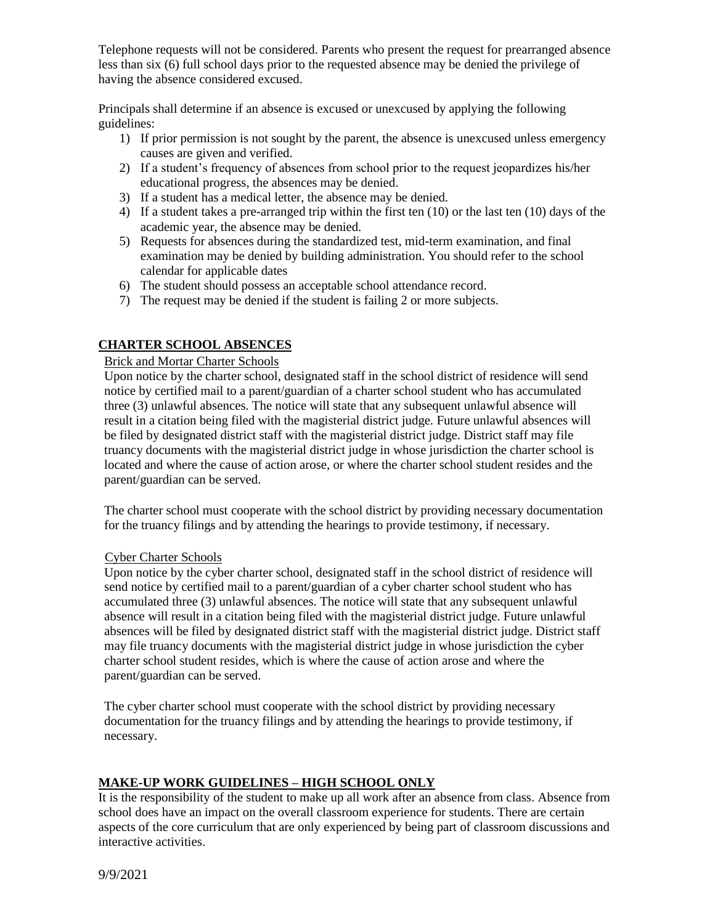Telephone requests will not be considered. Parents who present the request for prearranged absence less than six (6) full school days prior to the requested absence may be denied the privilege of having the absence considered excused.

Principals shall determine if an absence is excused or unexcused by applying the following guidelines:

- 1) If prior permission is not sought by the parent, the absence is unexcused unless emergency causes are given and verified.
- 2) If a student's frequency of absences from school prior to the request jeopardizes his/her educational progress, the absences may be denied.
- 3) If a student has a medical letter, the absence may be denied.
- 4) If a student takes a pre-arranged trip within the first ten (10) or the last ten (10) days of the academic year, the absence may be denied.
- 5) Requests for absences during the standardized test, mid-term examination, and final examination may be denied by building administration. You should refer to the school calendar for applicable dates
- 6) The student should possess an acceptable school attendance record.
- 7) The request may be denied if the student is failing 2 or more subjects.

#### **CHARTER SCHOOL ABSENCES**

#### Brick and Mortar Charter Schools

Upon notice by the charter school, designated staff in the school district of residence will send notice by certified mail to a parent/guardian of a charter school student who has accumulated three (3) unlawful absences. The notice will state that any subsequent unlawful absence will result in a citation being filed with the magisterial district judge. Future unlawful absences will be filed by designated district staff with the magisterial district judge. District staff may file truancy documents with the magisterial district judge in whose jurisdiction the charter school is located and where the cause of action arose, or where the charter school student resides and the parent/guardian can be served.

The charter school must cooperate with the school district by providing necessary documentation for the truancy filings and by attending the hearings to provide testimony, if necessary.

#### Cyber Charter Schools

Upon notice by the cyber charter school, designated staff in the school district of residence will send notice by certified mail to a parent/guardian of a cyber charter school student who has accumulated three (3) unlawful absences. The notice will state that any subsequent unlawful absence will result in a citation being filed with the magisterial district judge. Future unlawful absences will be filed by designated district staff with the magisterial district judge. District staff may file truancy documents with the magisterial district judge in whose jurisdiction the cyber charter school student resides, which is where the cause of action arose and where the parent/guardian can be served.

The cyber charter school must cooperate with the school district by providing necessary documentation for the truancy filings and by attending the hearings to provide testimony, if necessary.

## **MAKE-UP WORK GUIDELINES – HIGH SCHOOL ONLY**

It is the responsibility of the student to make up all work after an absence from class. Absence from school does have an impact on the overall classroom experience for students. There are certain aspects of the core curriculum that are only experienced by being part of classroom discussions and interactive activities.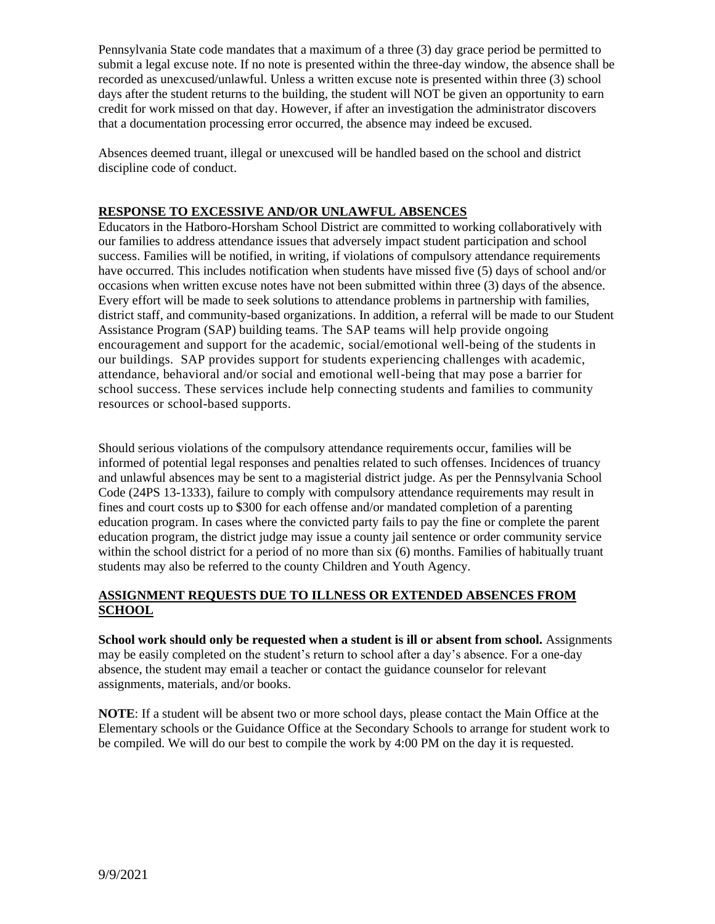Pennsylvania State code mandates that a maximum of a three (3) day grace period be permitted to submit a legal excuse note. If no note is presented within the three-day window, the absence shall be recorded as unexcused/unlawful. Unless a written excuse note is presented within three (3) school days after the student returns to the building, the student will NOT be given an opportunity to earn credit for work missed on that day. However, if after an investigation the administrator discovers that a documentation processing error occurred, the absence may indeed be excused.

Absences deemed truant, illegal or unexcused will be handled based on the school and district discipline code of conduct.

## **RESPONSE TO EXCESSIVE AND/OR UNLAWFUL ABSENCES**

Educators in the Hatboro-Horsham School District are committed to working collaboratively with our families to address attendance issues that adversely impact student participation and school success. Families will be notified, in writing, if violations of compulsory attendance requirements have occurred. This includes notification when students have missed five (5) days of school and/or occasions when written excuse notes have not been submitted within three (3) days of the absence. Every effort will be made to seek solutions to attendance problems in partnership with families, district staff, and community-based organizations. In addition, a referral will be made to our Student Assistance Program (SAP) building teams. The SAP teams will help provide ongoing encouragement and support for the academic, social/emotional well-being of the students in our buildings. SAP provides support for students experiencing challenges with academic, attendance, behavioral and/or social and emotional well-being that may pose a barrier for school success. These services include help connecting students and families to community resources or school-based supports.

Should serious violations of the compulsory attendance requirements occur, families will be informed of potential legal responses and penalties related to such offenses. Incidences of truancy and unlawful absences may be sent to a magisterial district judge. As per the Pennsylvania School Code (24PS 13-1333), failure to comply with compulsory attendance requirements may result in fines and court costs up to \$300 for each offense and/or mandated completion of a parenting education program. In cases where the convicted party fails to pay the fine or complete the parent education program, the district judge may issue a county jail sentence or order community service within the school district for a period of no more than six (6) months. Families of habitually truant students may also be referred to the county Children and Youth Agency.

#### **ASSIGNMENT REQUESTS DUE TO ILLNESS OR EXTENDED ABSENCES FROM SCHOOL**

**School work should only be requested when a student is ill or absent from school.** Assignments may be easily completed on the student's return to school after a day's absence. For a one-day absence, the student may email a teacher or contact the guidance counselor for relevant assignments, materials, and/or books.

**NOTE**: If a student will be absent two or more school days, please contact the Main Office at the Elementary schools or the Guidance Office at the Secondary Schools to arrange for student work to be compiled. We will do our best to compile the work by 4:00 PM on the day it is requested.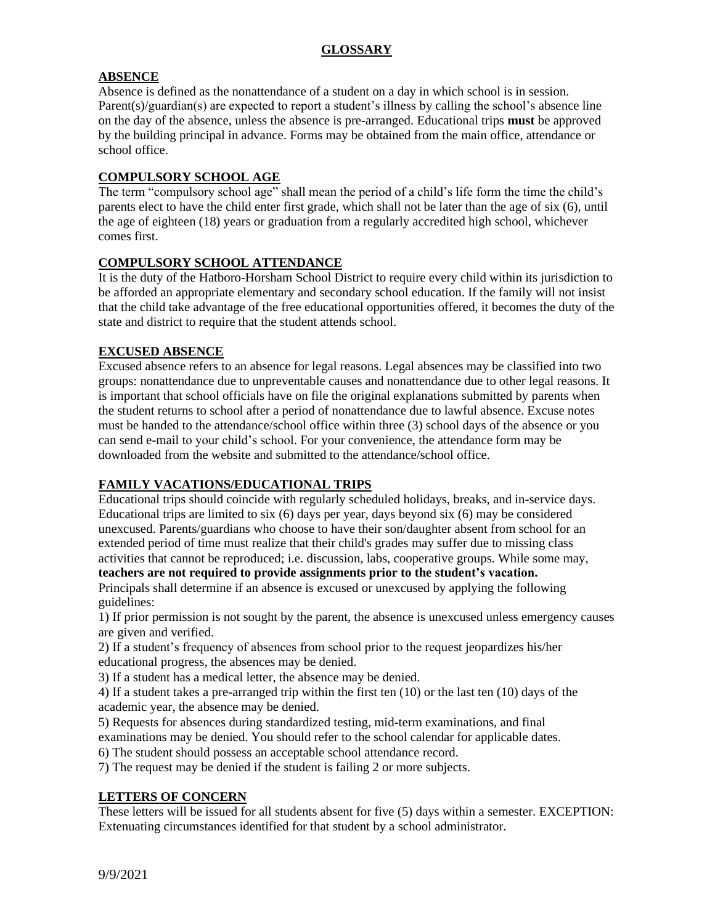## **ABSENCE**

Absence is defined as the nonattendance of a student on a day in which school is in session. Parent(s)/guardian(s) are expected to report a student's illness by calling the school's absence line on the day of the absence, unless the absence is pre-arranged. Educational trips **must** be approved by the building principal in advance. Forms may be obtained from the main office, attendance or school office.

#### **COMPULSORY SCHOOL AGE**

The term "compulsory school age" shall mean the period of a child's life form the time the child's parents elect to have the child enter first grade, which shall not be later than the age of six (6), until the age of eighteen (18) years or graduation from a regularly accredited high school, whichever comes first.

#### **COMPULSORY SCHOOL ATTENDANCE**

It is the duty of the Hatboro-Horsham School District to require every child within its jurisdiction to be afforded an appropriate elementary and secondary school education. If the family will not insist that the child take advantage of the free educational opportunities offered, it becomes the duty of the state and district to require that the student attends school.

#### **EXCUSED ABSENCE**

Excused absence refers to an absence for legal reasons. Legal absences may be classified into two groups: nonattendance due to unpreventable causes and nonattendance due to other legal reasons. It is important that school officials have on file the original explanations submitted by parents when the student returns to school after a period of nonattendance due to lawful absence. Excuse notes must be handed to the attendance/school office within three (3) school days of the absence or you can send e-mail to your child's school. For your convenience, the attendance form may be downloaded from the website and submitted to the attendance/school office.

## **FAMILY VACATIONS/EDUCATIONAL TRIPS**

Educational trips should coincide with regularly scheduled holidays, breaks, and in-service days. Educational trips are limited to six (6) days per year, days beyond six (6) may be considered unexcused. Parents/guardians who choose to have their son/daughter absent from school for an extended period of time must realize that their child's grades may suffer due to missing class activities that cannot be reproduced; i.e. discussion, labs, cooperative groups. While some may,

#### **teachers are not required to provide assignments prior to the student's vacation.**

Principals shall determine if an absence is excused or unexcused by applying the following guidelines:

1) If prior permission is not sought by the parent, the absence is unexcused unless emergency causes are given and verified.

2) If a student's frequency of absences from school prior to the request jeopardizes his/her educational progress, the absences may be denied.

3) If a student has a medical letter, the absence may be denied.

4) If a student takes a pre-arranged trip within the first ten (10) or the last ten (10) days of the academic year, the absence may be denied.

5) Requests for absences during standardized testing, mid-term examinations, and final examinations may be denied. You should refer to the school calendar for applicable dates.

6) The student should possess an acceptable school attendance record.

7) The request may be denied if the student is failing 2 or more subjects.

#### **LETTERS OF CONCERN**

These letters will be issued for all students absent for five (5) days within a semester. EXCEPTION: Extenuating circumstances identified for that student by a school administrator.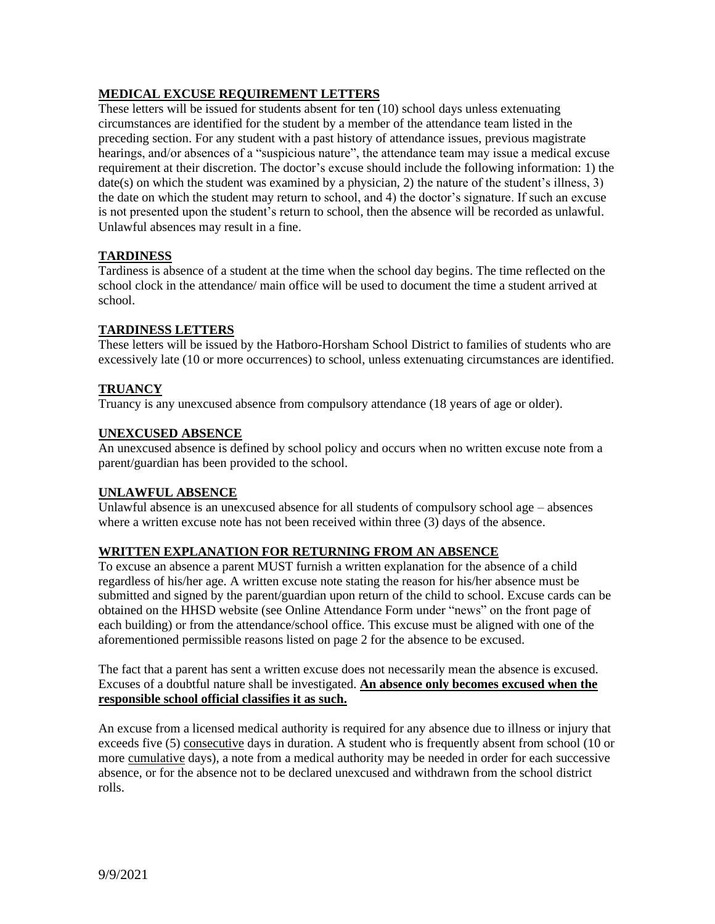## **MEDICAL EXCUSE REQUIREMENT LETTERS**

These letters will be issued for students absent for ten (10) school days unless extenuating circumstances are identified for the student by a member of the attendance team listed in the preceding section. For any student with a past history of attendance issues, previous magistrate hearings, and/or absences of a "suspicious nature", the attendance team may issue a medical excuse requirement at their discretion. The doctor's excuse should include the following information: 1) the date(s) on which the student was examined by a physician, 2) the nature of the student's illness, 3) the date on which the student may return to school, and 4) the doctor's signature. If such an excuse is not presented upon the student's return to school, then the absence will be recorded as unlawful. Unlawful absences may result in a fine.

## **TARDINESS**

Tardiness is absence of a student at the time when the school day begins. The time reflected on the school clock in the attendance/ main office will be used to document the time a student arrived at school.

#### **TARDINESS LETTERS**

These letters will be issued by the Hatboro-Horsham School District to families of students who are excessively late (10 or more occurrences) to school, unless extenuating circumstances are identified.

#### **TRUANCY**

Truancy is any unexcused absence from compulsory attendance (18 years of age or older).

#### **UNEXCUSED ABSENCE**

An unexcused absence is defined by school policy and occurs when no written excuse note from a parent/guardian has been provided to the school.

#### **UNLAWFUL ABSENCE**

Unlawful absence is an unexcused absence for all students of compulsory school age – absences where a written excuse note has not been received within three (3) days of the absence.

#### **WRITTEN EXPLANATION FOR RETURNING FROM AN ABSENCE**

To excuse an absence a parent MUST furnish a written explanation for the absence of a child regardless of his/her age. A written excuse note stating the reason for his/her absence must be submitted and signed by the parent/guardian upon return of the child to school. Excuse cards can be obtained on the HHSD website (see Online Attendance Form under "news" on the front page of each building) or from the attendance/school office. This excuse must be aligned with one of the aforementioned permissible reasons listed on page 2 for the absence to be excused.

The fact that a parent has sent a written excuse does not necessarily mean the absence is excused. Excuses of a doubtful nature shall be investigated. **An absence only becomes excused when the responsible school official classifies it as such.** 

An excuse from a licensed medical authority is required for any absence due to illness or injury that exceeds five (5) consecutive days in duration. A student who is frequently absent from school (10 or more cumulative days), a note from a medical authority may be needed in order for each successive absence, or for the absence not to be declared unexcused and withdrawn from the school district rolls.